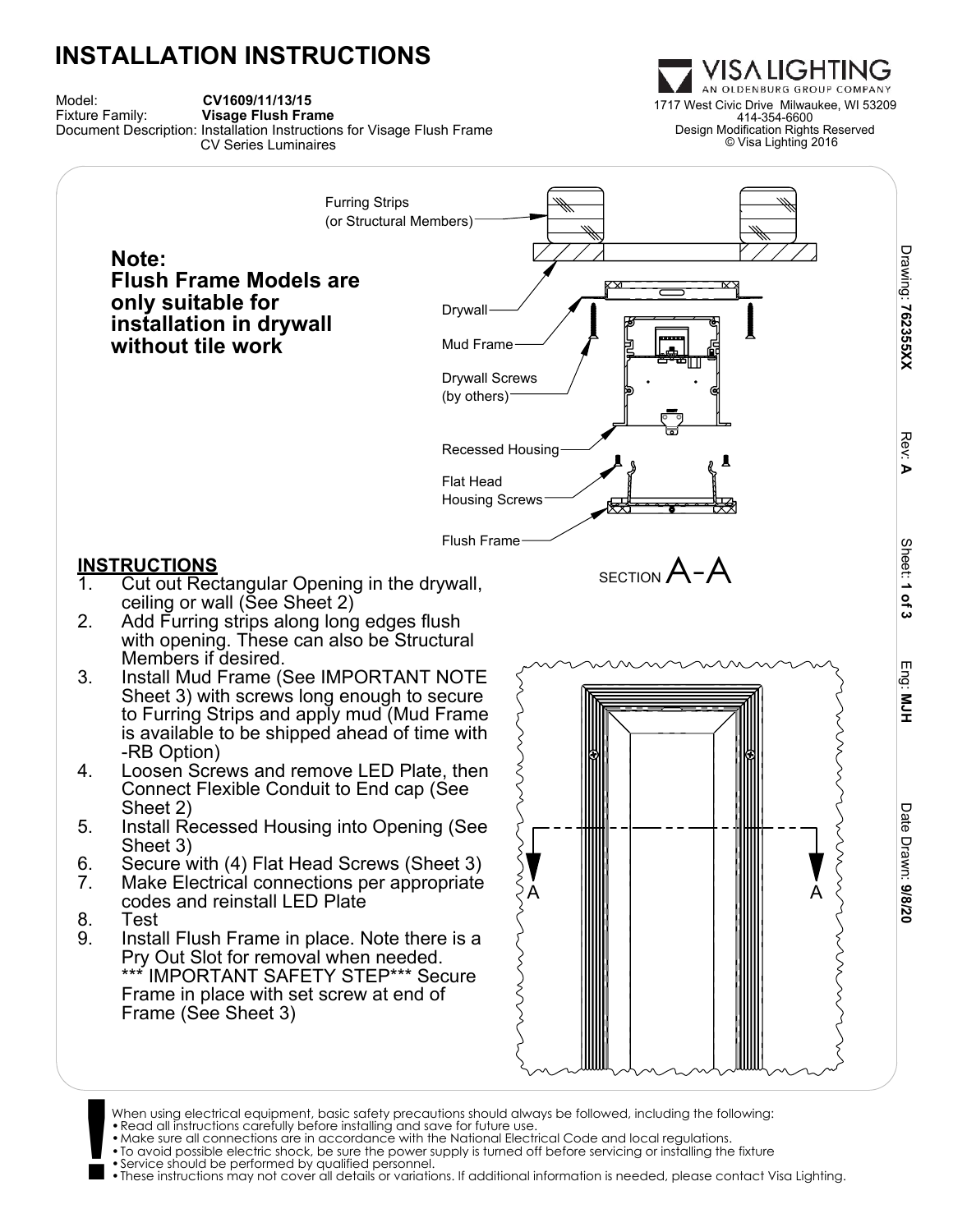## **INSTALLATION INSTRUCTIONS**





When using electrical equipment, basic safety precautions should always be followed, including the following: •Read all instructions carefully before installing and save for future use.

- 
- •Make sure all connections are in accordance with the National Electrical Code and local regulations.
- **!** •To avoid possible electric shock, be sure the power supply is turned off before servicing or installing the fixture •Service should be performed by qualified personnel.
	-

•These instructions may not cover all details or variations. If additional information is needed, please contact Visa Lighting.

1717 West Civic Drive Milwaukee, WI 53209 414-354-6600 Design Modification Rights Reserved © Visa Lighting 2016

VISA LIGHTING AN OLDENBURG GROUP COMPANY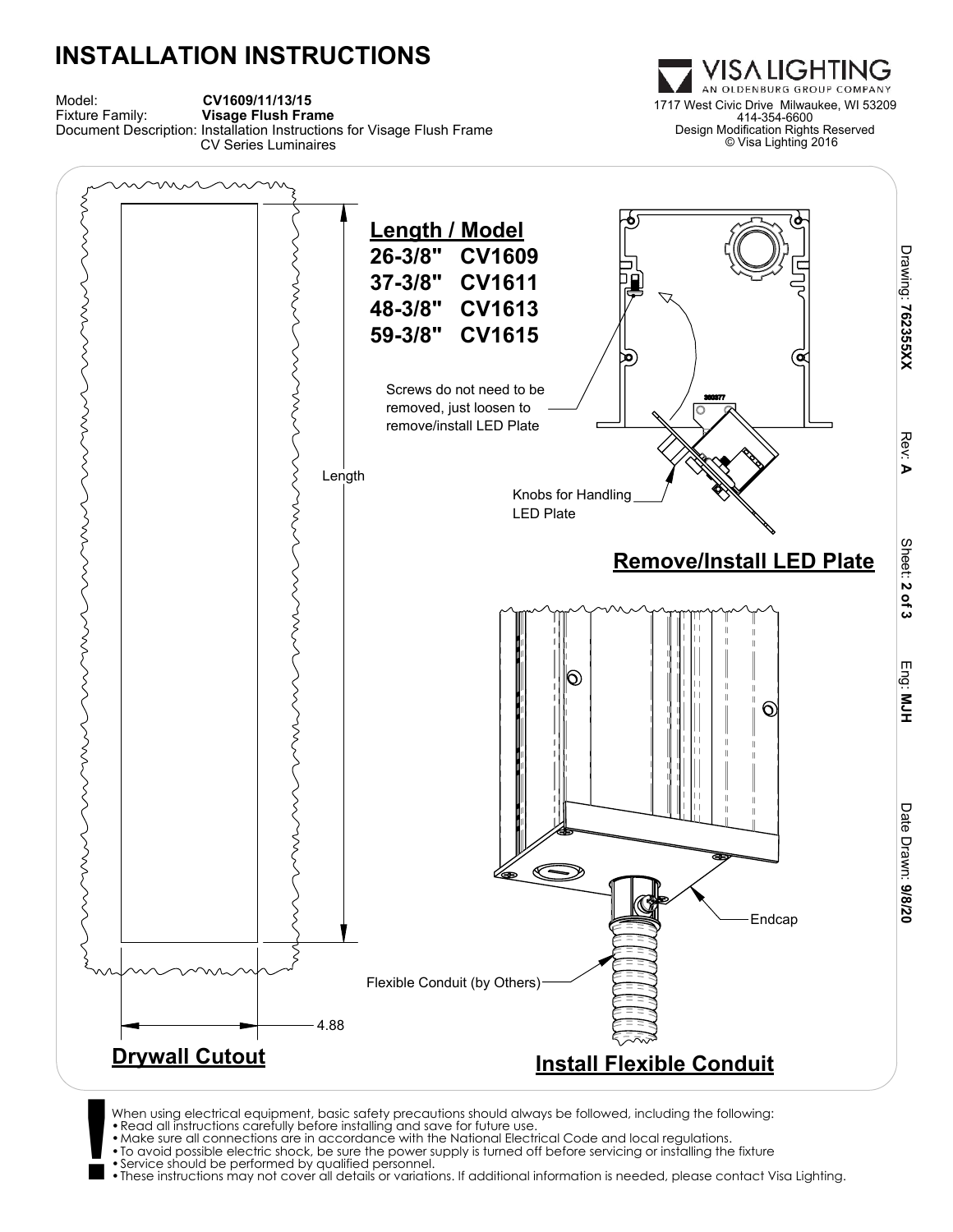## **INSTALLATION INSTRUCTIONS**





- When using electrical equipment, basic safety precautions should always be followed, including the following:<br>• Read all instructions carefully before installing and save for future use.<br>• Make sure all connections are in
	-
	-
	-
	-

•These instructions may not cover all details or variations. If additional information is needed, please contact Visa Lighting.

1717 West Civic Drive Milwaukee, WI 53209 414-354-6600 Design Modification Rights Reserved © Visa Lighting 2016

VISA LIGHTING OLDENBURG GROUP COMPANY

**M**<br>H<sub>H</sub>

<u>ъ</u>